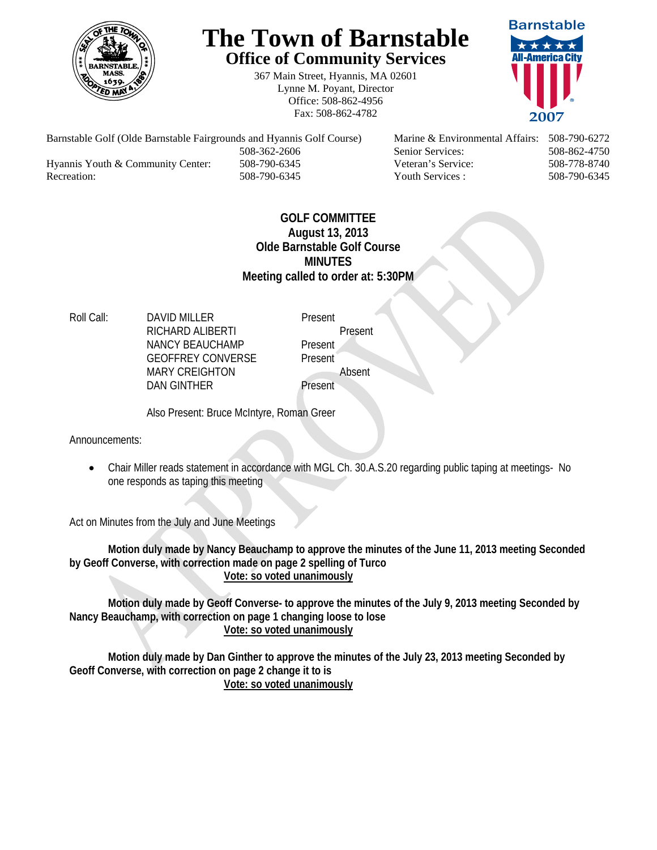

## **The Town of Barnstable Office of Community Services**

367 Main Street, Hyannis, MA 02601 Lynne M. Poyant, Director Office: 508-862-4956 Fax: 508-862-4782



Barnstable Golf (Olde Barnstable Fairgrounds and Hyannis Golf Course) Marine & Environmental Affairs: 508-790-6272 508-362-2606 Senior Services: 508-862-4750 Hyannis Youth & Community Center: 508-790-6345 Veteran's Service: 508-778-8740 Recreation: 508-790-6345 Youth Services : 508-790-6345 S08-790-6345

## **GOLF COMMITTEE August 13, 2013 Olde Barnstable Golf Course MINUTES Meeting called to order at: 5:30PM**

Roll Call: DAVID MILLER Present RICHARD ALIBERTI Present NANCY BEAUCHAMP Present GEOFFREY CONVERSE Present MARY CREIGHTON Absent DAN GINTHER Present

Also Present: Bruce McIntyre, Roman Greer

Announcements:

 Chair Miller reads statement in accordance with MGL Ch. 30.A.S.20 regarding public taping at meetings- No one responds as taping this meeting

Act on Minutes from the July and June Meetings

**Motion duly made by Nancy Beauchamp to approve the minutes of the June 11, 2013 meeting Seconded by Geoff Converse, with correction made on page 2 spelling of Turco Vote: so voted unanimously**

**Motion duly made by Geoff Converse- to approve the minutes of the July 9, 2013 meeting Seconded by Nancy Beauchamp, with correction on page 1 changing loose to lose Vote: so voted unanimously**

**Motion duly made by Dan Ginther to approve the minutes of the July 23, 2013 meeting Seconded by Geoff Converse, with correction on page 2 change it to is Vote: so voted unanimously**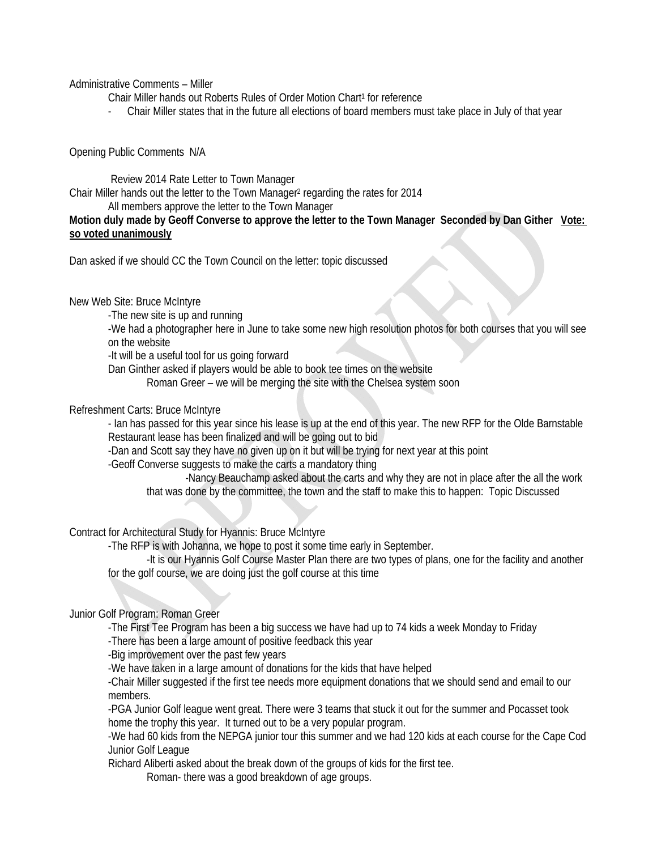Administrative Comments – Miller

Chair Miller hands out Roberts Rules of Order Motion Chart<sup>1</sup> for reference

- Chair Miller states that in the future all elections of board members must take place in July of that year

Opening Public Comments N/A

 Review 2014 Rate Letter to Town Manager Chair Miller hands out the letter to the Town Manager<sup>2</sup> regarding the rates for 2014

All members approve the letter to the Town Manager

**Motion duly made by Geoff Converse to approve the letter to the Town Manager Seconded by Dan Gither Vote: so voted unanimously**

Dan asked if we should CC the Town Council on the letter: topic discussed

New Web Site: Bruce McIntyre

-The new site is up and running

-We had a photographer here in June to take some new high resolution photos for both courses that you will see on the website

-It will be a useful tool for us going forward

Dan Ginther asked if players would be able to book tee times on the website

Roman Greer – we will be merging the site with the Chelsea system soon

Refreshment Carts: Bruce McIntyre

- Ian has passed for this year since his lease is up at the end of this year. The new RFP for the Olde Barnstable Restaurant lease has been finalized and will be going out to bid

-Dan and Scott say they have no given up on it but will be trying for next year at this point

-Geoff Converse suggests to make the carts a mandatory thing

 -Nancy Beauchamp asked about the carts and why they are not in place after the all the work that was done by the committee, the town and the staff to make this to happen: Topic Discussed

Contract for Architectural Study for Hyannis: Bruce McIntyre

-The RFP is with Johanna, we hope to post it some time early in September.

 -It is our Hyannis Golf Course Master Plan there are two types of plans, one for the facility and another for the golf course, we are doing just the golf course at this time

Junior Golf Program: Roman Greer

-The First Tee Program has been a big success we have had up to 74 kids a week Monday to Friday

-There has been a large amount of positive feedback this year

-Big improvement over the past few years

-We have taken in a large amount of donations for the kids that have helped

-Chair Miller suggested if the first tee needs more equipment donations that we should send and email to our members.

-PGA Junior Golf league went great. There were 3 teams that stuck it out for the summer and Pocasset took home the trophy this year. It turned out to be a very popular program.

-We had 60 kids from the NEPGA junior tour this summer and we had 120 kids at each course for the Cape Cod Junior Golf League

Richard Aliberti asked about the break down of the groups of kids for the first tee.

Roman- there was a good breakdown of age groups.